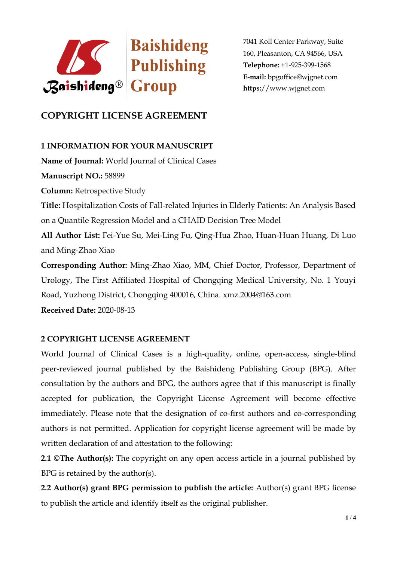

7041 Koll Center Parkway, Suite 160, Pleasanton, CA 94566, USA **Telephone:** +1-925-399-1568 **E-mail:** bpgoffice@wjgnet.com **https:**//www.wjgnet.com

# **COPYRIGHT LICENSE AGREEMENT**

## **1 INFORMATION FOR YOUR MANUSCRIPT**

**Name of Journal:** World Journal of Clinical Cases **Manuscript NO.:** 58899 **Column:** Retrospective Study **Title:** Hospitalization Costs of Fall-related Injuries in Elderly Patients: An Analysis Based on a Quantile Regression Model and a CHAID Decision Tree Model **All Author List:** Fei-Yue Su, Mei-Ling Fu, Qing-Hua Zhao, Huan-Huan Huang, Di Luo and Ming-Zhao Xiao **Corresponding Author:** Ming-Zhao Xiao, MM, Chief Doctor, Professor, Department of Urology, The First Affiliated Hospital of Chongqing Medical University, No. 1 Youyi Road, Yuzhong District, Chongqing 400016, China. xmz.2004@163.com **Received Date:** 2020-08-13

## **2 COPYRIGHT LICENSE AGREEMENT**

World Journal of Clinical Cases is a high-quality, online, open-access, single-blind peer-reviewed journal published by the Baishideng Publishing Group (BPG). After consultation by the authors and BPG, the authors agree that if this manuscript is finally accepted for publication, the Copyright License Agreement will become effective immediately. Please note that the designation of co-first authors and co-corresponding authors is not permitted. Application for copyright license agreement will be made by written declaration of and attestation to the following:

**2.1 ©The Author(s):** The copyright on any open access article in a journal published by BPG is retained by the author(s).

**2.2 Author(s) grant BPG permission to publish the article:** Author(s) grant BPG license to publish the article and identify itself as the original publisher.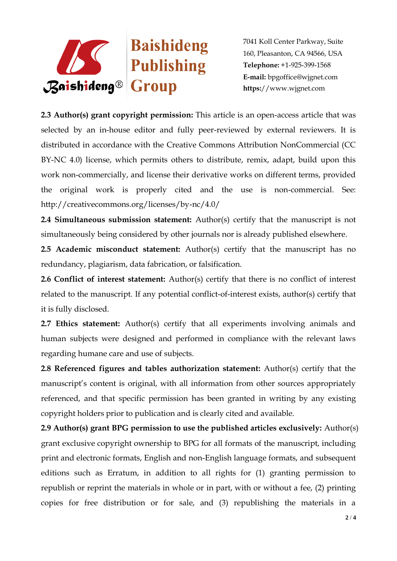

7041 Koll Center Parkway, Suite 160, Pleasanton, CA 94566, USA **Telephone:** +1-925-399-1568 **E-mail:** bpgoffice@wjgnet.com **https:**//www.wjgnet.com

**2.3 Author(s) grant copyright permission:** This article is an open-access article that was selected by an in-house editor and fully peer-reviewed by external reviewers. It is distributed in accordance with the Creative Commons Attribution NonCommercial (CC BY-NC 4.0) license, which permits others to distribute, remix, adapt, build upon this work non-commercially, and license their derivative works on different terms, provided the original work is properly cited and the use is non-commercial. See: http://creativecommons.org/licenses/by-nc/4.0/

**2.4 Simultaneous submission statement:** Author(s) certify that the manuscript is not simultaneously being considered by other journals nor is already published elsewhere.

**2.5 Academic misconduct statement:** Author(s) certify that the manuscript has no redundancy, plagiarism, data fabrication, or falsification.

**2.6 Conflict of interest statement:** Author(s) certify that there is no conflict of interest related to the manuscript. If any potential conflict-of-interest exists, author(s) certify that it is fully disclosed.

**2.7 Ethics statement:** Author(s) certify that all experiments involving animals and human subjects were designed and performed in compliance with the relevant laws regarding humane care and use of subjects.

**2.8 Referenced figures and tables authorization statement:** Author(s) certify that the manuscript's content is original, with all information from other sources appropriately referenced, and that specific permission has been granted in writing by any existing copyright holders prior to publication and is clearly cited and available.

**2.9 Author(s) grant BPG permission to use the published articles exclusively:** Author(s) grant exclusive copyright ownership to BPG for all formats of the manuscript, including print and electronic formats, English and non-English language formats, and subsequent editions such as Erratum, in addition to all rights for (1) granting permission to republish or reprint the materials in whole or in part, with or without a fee, (2) printing copies for free distribution or for sale, and (3) republishing the materials in a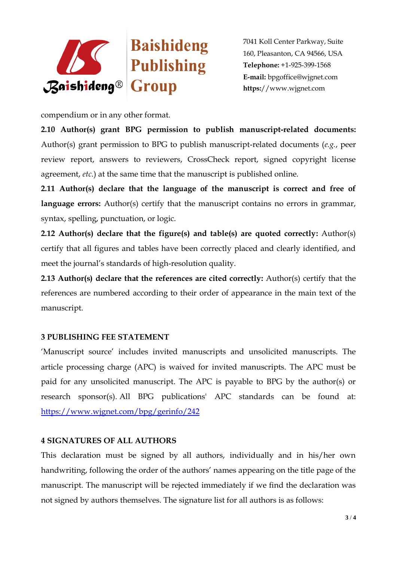

7041 Koll Center Parkway, Suite 160, Pleasanton, CA 94566, USA **Telephone:** +1-925-399-1568 **E-mail:** bpgoffice@wjgnet.com **https:**//www.wjgnet.com

compendium or in any other format.

**2.10 Author(s) grant BPG permission to publish manuscript-related documents:**  Author(s) grant permission to BPG to publish manuscript-related documents (*e.g.*, peer review report, answers to reviewers, CrossCheck report, signed copyright license agreement, *etc*.) at the same time that the manuscript is published online.

**2.11 Author(s) declare that the language of the manuscript is correct and free of**  language errors: Author(s) certify that the manuscript contains no errors in grammar, syntax, spelling, punctuation, or logic.

**2.12 Author(s) declare that the figure(s) and table(s) are quoted correctly:** Author(s) certify that all figures and tables have been correctly placed and clearly identified, and meet the journal's standards of high-resolution quality.

**2.13 Author(s) declare that the references are cited correctly:** Author(s) certify that the references are numbered according to their order of appearance in the main text of the manuscript.

## **3 PUBLISHING FEE STATEMENT**

'Manuscript source' includes invited manuscripts and unsolicited manuscripts. The article processing charge (APC) is waived for invited manuscripts. The APC must be paid for any unsolicited manuscript. The APC is payable to BPG by the author(s) or research sponsor(s). All BPG publications' APC standards can be found at: <https://www.wjgnet.com/bpg/gerinfo/242>

## **4 SIGNATURES OF ALL AUTHORS**

This declaration must be signed by all authors, individually and in his/her own handwriting, following the order of the authors' names appearing on the title page of the manuscript. The manuscript will be rejected immediately if we find the declaration was not signed by authors themselves. The signature list for all authors is as follows: